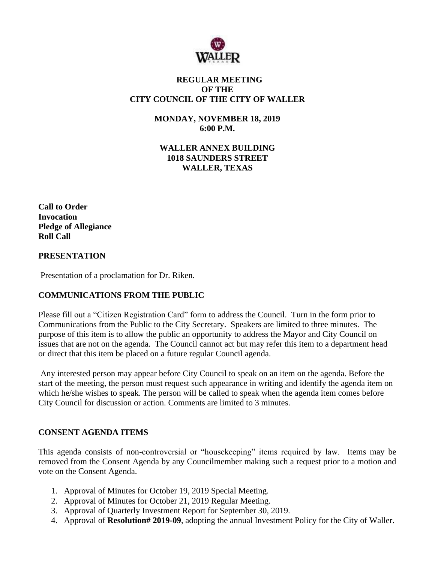

# **REGULAR MEETING OF THE CITY COUNCIL OF THE CITY OF WALLER**

**MONDAY, NOVEMBER 18, 2019 6:00 P.M.**

**WALLER ANNEX BUILDING 1018 SAUNDERS STREET WALLER, TEXAS**

**Call to Order Invocation Pledge of Allegiance Roll Call**

## **PRESENTATION**

Presentation of a proclamation for Dr. Riken.

# **COMMUNICATIONS FROM THE PUBLIC**

Please fill out a "Citizen Registration Card" form to address the Council. Turn in the form prior to Communications from the Public to the City Secretary. Speakers are limited to three minutes. The purpose of this item is to allow the public an opportunity to address the Mayor and City Council on issues that are not on the agenda. The Council cannot act but may refer this item to a department head or direct that this item be placed on a future regular Council agenda.

Any interested person may appear before City Council to speak on an item on the agenda. Before the start of the meeting, the person must request such appearance in writing and identify the agenda item on which he/she wishes to speak. The person will be called to speak when the agenda item comes before City Council for discussion or action. Comments are limited to 3 minutes.

# **CONSENT AGENDA ITEMS**

This agenda consists of non-controversial or "housekeeping" items required by law. Items may be removed from the Consent Agenda by any Councilmember making such a request prior to a motion and vote on the Consent Agenda.

- 1. Approval of Minutes for October 19, 2019 Special Meeting.
- 2. Approval of Minutes for October 21, 2019 Regular Meeting.
- 3. Approval of Quarterly Investment Report for September 30, 2019.
- 4. Approval of **Resolution# 2019-09**, adopting the annual Investment Policy for the City of Waller.